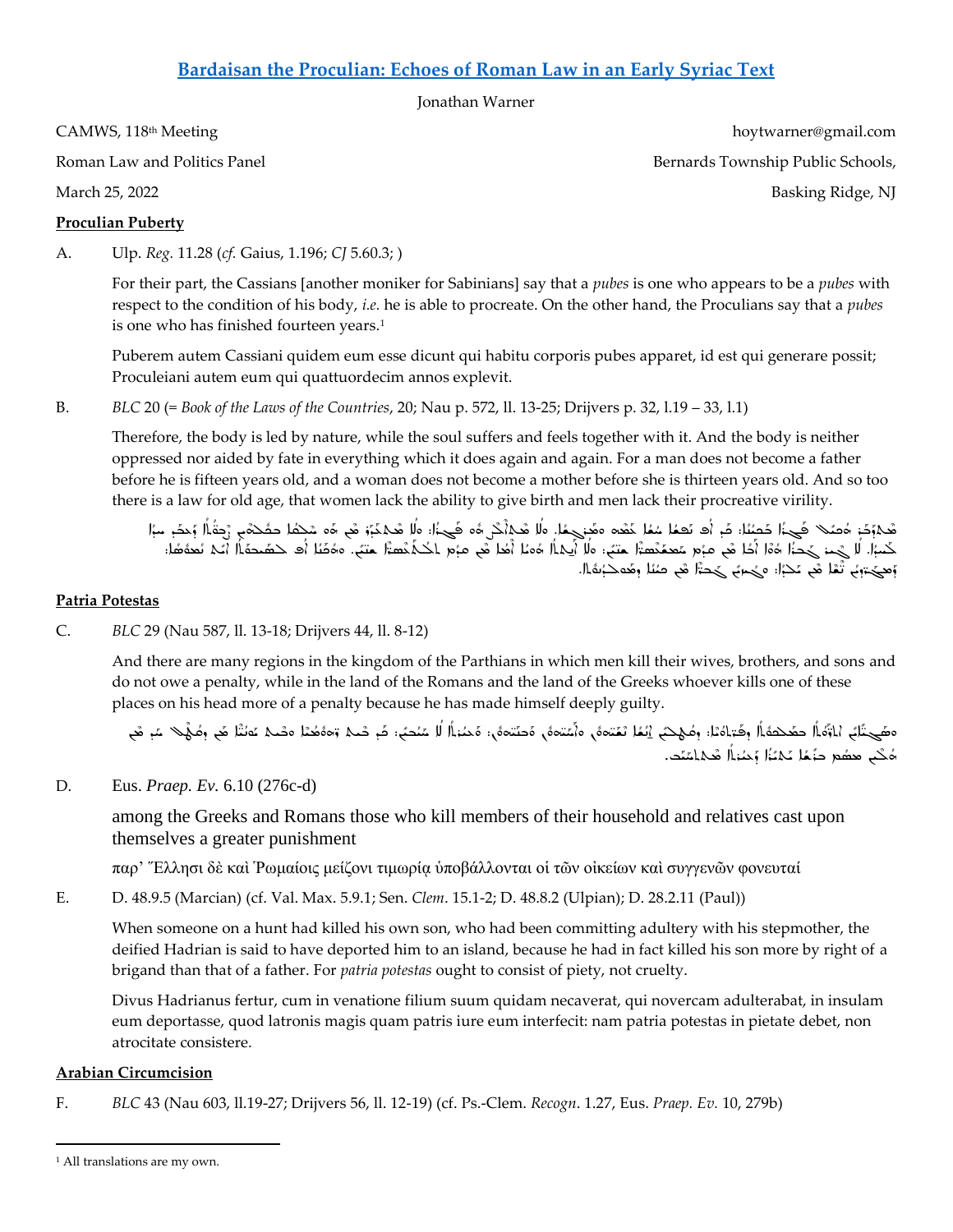# **[Bardaisan the Proculian: Echoes of Roman Law in an Early Syriac Text](https://camws.org/sites/default/files/meeting2022/2720SyriacandRomanLaw.pdf)**

Jonathan Warner

CAMWS, 118<sup>th</sup> Meeting hoytwarner@gmail.com

## **Proculian Puberty**

A. Ulp. *Reg.* 11.28 (*cf.* Gaius, 1.196; *CJ* 5.60.3; )

For their part, the Cassians [another moniker for Sabinians] say that a *pubes* is one who appears to be a *pubes* with respect to the condition of his body, *i.e.* he is able to procreate. On the other hand, the Proculians say that a *pubes*  is one who has finished fourteen years.<sup>1</sup>

Puberem autem Cassiani quidem eum esse dicunt qui habitu corporis pubes apparet, id est qui generare possit; Proculeiani autem eum qui quattuordecim annos explevit.

B. *BLC* 20 (= *Book of the Laws of the Countries*, 20; Nau p. 572, ll. 13-25; Drijvers p. 32, l.19 – 33, l.1)

Therefore, the body is led by nature, while the soul suffers and feels together with it. And the body is neither oppressed nor aided by fate in everything which it does again and again. For a man does not become a father before he is fifteen years old, and a woman does not become a mother before she is thirteen years old. And so too there is a law for old age, that women lack the ability to give birth and men lack their procreative virility.

م<br>هجروج الصحيح المستحد الله عنه الله عنه المستحدة المستحدة الله عنه الله عنه الله عنه الله عنه الله عنه الله عنه الله عنه الله عنه الله عنه الله عنه الله عنه الله عنه الله عنه الله عنه ا<br>وي الله عنه الله عنه الله عنه الله ܳ ܰ ܰ ܰ ٍ<br>أ ٍ<br>پ z<br>Š  $\frac{3}{2}$ í í ܰ ś í ܰ i ܰ ٍّ í ܰ ٍ<br>پ z<br>Š ś ܰ ܰ ٍّءِ ܰ ܰ í ܽ ;<br>; هماود: ادهه الحجم الحصل: د. اد تعمل عمد عدد معنى ما الكبر ان هما د. وه الحجم:: « همكنو في اده عندم الحديث المد<br>حَمَرُا. لَا حُمن حَجَدُ ادْوَا أَخَلْ في عَبْمِ سَعْدَهُمْ سَتَبْ: مالا أَيكلاً ادْما أَخَلْ في عَبْمِ احْتَك ;<br>أ∂ .<br>•<br>• ܰ ܰ ٍّءُ ܳ ܰ ܳ  $\frac{4}{3}$ 。<br>● ܳ z<br>Č ܳ ٍ<br>ٌ ܰ ܳ u<br>¤ ܳ ؚ<br>ؙ ٍّ ܳ ؚ<br>ٌ ܰ ۔<br>ا حمد السلسطة المستعدة بعض صدر المستعدد المستعدد المستعدد المستعدد المستعدد المستعدد المستعدد المستعدد المستعدد<br>وهي جون المستعدد المستعدد المستعدد المستعدد المستعدد المستعدد المستعدد المستعدد المستعدد المستعدد المستعدد الم ܽ ٍّءُ ٍّ ٍ ٍّ ٍّءُ ܰ ܶ ʻ ܰ

### **Patria Potestas**

C. *BLC* 29 (Nau 587, ll. 13-18; Drijvers 44, ll. 8-12)

And there are many regions in the kingdom of the Parthians in which men kill their wives, brothers, and sons and do not owe a penalty, while in the land of the Romans and the land of the Greeks whoever kills one of these places on his head more of a penalty because he has made himself deeply guilty.

í ەھَــِـتَّابً ،ٰارْفَالُ حصَّحْصَةَ الُ وصَّبَاهُمْا: ومُـهْـتَبَ الْمُمَّا مَعْـتمَانُ مَّا مَـتْسَمَّى مَـتَ<br>مَسْحَـتَابُ ،ٰارْفَالُ حصَّحْصَةَ الله وحَسَاءُ الله عَـنَامَة مَّا مَعْنَا مَا مَتَحْمَة مَّا مَا مَعْنَا صَ ٍ<br>ٌ ܳ ʻ ܰ ہ<br>ا  $\frac{4}{3}$ ٌءُ ܳ ܰ ܰܳ  $\ddot{\cdot}$ ٍّةٌ ܰ  $\frac{4}{3}$ ܰ ٍ<br>؞ ٍ<br>اُ ٌءُ ٍّ z<br>J ܽ ܰ ܰ ܽ ٠,  $\frac{4}{3}$ ܰ ے<br>٭ کب معصُم حنَّمُا عَامَٰۃُا وَحُمٰۃاًا صَامَتَص ֚֘ ٍّ ܰ , ܳ

D. Eus. *Praep. Ev.* 6.10 (276c-d)

among the Greeks and Romans those who kill members of their household and relatives cast upon themselves a greater punishment

παρ' Ἕλλησι δὲ καὶ Ῥωμαίοις μείζονι τιμωρίᾳ ὑποβάλλονται οἱ τῶν οἰκείων καὶ συγγενῶν φονευταί

E. D. 48.9.5 (Marcian) (cf. Val. Max. 5.9.1; Sen. *Clem*. 15.1-2; D. 48.8.2 (Ulpian); D. 28.2.11 (Paul))

When someone on a hunt had killed his own son, who had been committing adultery with his stepmother, the deified Hadrian is said to have deported him to an island, because he had in fact killed his son more by right of a brigand than that of a father. For *patria potestas* ought to consist of piety, not cruelty.

Divus Hadrianus fertur, cum in venatione filium suum quidam necaverat, qui novercam adulterabat, in insulam eum deportasse, quod latronis magis quam patris iure eum interfecit: nam patria potestas in pietate debet, non atrocitate consistere.

#### **Arabian Circumcision**

F. *BLC* 43 (Nau 603, ll.19-27; Drijvers 56, ll. 12-19) (cf. Ps.-Clem. *Recogn*. 1.27, Eus. *Praep. Ev.* 10, 279b)

Roman Law and Politics Panel Bernards Township Public Schools, and Research Bernards Township Public Schools, March 25, 2022 Basking Ridge, NJ

<sup>&</sup>lt;sup>1</sup> All translations are my own.